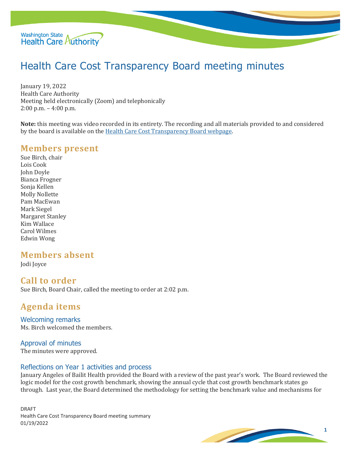

# Health Care Cost Transparency Board meeting minutes

January 19, 2022 Health Care Authority Meeting held electronically (Zoom) and telephonically 2:00 p.m. – 4:00 p.m.

**Note:** this meeting was video recorded in its entirety. The recording and all materials provided to and considered by the board is available on th[e Health Care Cost Transparency Board webpage.](https://www.hca.wa.gov/about-hca/health-care-cost-transparency-board)

## **Members present**

Sue Birch, chair Lois Cook John Doyle Bianca Frogner Sonja Kellen Molly Nollette Pam MacEwan Mark Siegel Margaret Stanley Kim Wallace Carol Wilmes Edwin Wong

# **Members absent**

Jodi Joyce

## **Call to order**

Sue Birch, Board Chair, called the meeting to order at 2:02 p.m.

# **Agenda items**

Welcoming remarks Ms. Birch welcomed the members.

# Approval of minutes

The minutes were approved.

#### Reflections on Year 1 activities and process

January Angeles of Bailit Health provided the Board with a review of the past year's work. The Board reviewed the logic model for the cost growth benchmark, showing the annual cycle that cost growth benchmark states go through. Last year, the Board determined the methodology for setting the benchmark value and mechanisms for

DRAFT Health Care Cost Transparency Board meeting summary 01/19/2022

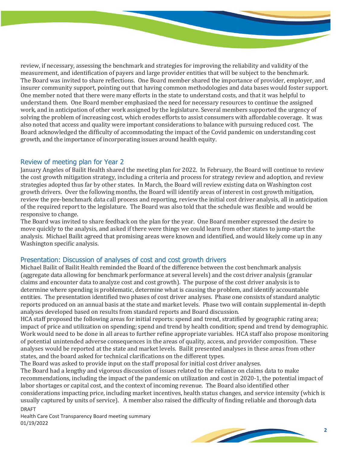review, if necessary, assessing the benchmark and strategies for improving the reliability and validity of the measurement, and identification of payers and large provider entities that will be subject to the benchmark. The Board was invited to share reflections. One Board member shared the importance of provider, employer, and insurer community support, pointing out that having common methodologies and data bases would foster support. One member noted that there were many efforts in the state to understand costs, and that it was helpful to understand them. One Board member emphasized the need for necessary resources to continue the assigned work, and in anticipation of other work assigned by the legislature. Several members supported the urgency of solving the problem of increasing cost, which erodes efforts to assist consumers with affordable coverage. It was also noted that access and quality were important considerations to balance with pursuing reduced cost. The Board acknowledged the difficulty of accommodating the impact of the Covid pandemic on understanding cost growth, and the importance of incorporating issues around health equity.

#### Review of meeting plan for Year 2

January Angeles of Bailit Health shared the meeting plan for 2022. In February, the Board will continue to review the cost growth mitigation strategy, including a criteria and process for strategy review and adoption, and review strategies adopted thus far by other states. In March, the Board will review existing data on Washington cost growth drivers. Over the following months, the Board will identify areas of interest in cost growth mitigation, review the pre-benchmark data call process and reporting, review the initial cost driver analysis, all in anticipation of the required report to the legislature. The Board was also told that the schedule was flexible and would be responsive to change.

The Board was invited to share feedback on the plan for the year. One Board member expressed the desire to move quickly to the analysis, and asked if there were things we could learn from other states to jump-start the analysis. Michael Bailit agreed that promising areas were known and identified, and would likely come up in any Washington specific analysis.

## Presentation: Discussion of analyses of cost and cost growth drivers

Michael Bailit of Bailit Health reminded the Board of the difference between the cost benchmark analysis (aggregate data allowing for benchmark performance at several levels) and the cost driver analysis (granular claims and encounter data to analyze cost and cost growth). The purpose of the cost driver analysis is to determine where spending is problematic, determine what is causing the problem, and identify accountable entities. The presentation identified two phases of cost driver analyses. Phase one consists of standard analytic reports produced on an annual basis at the state and market levels. Phase two will contain supplemental in-depth analyses developed based on results from standard reports and Board discussion.

HCA staff proposed the following areas for initial reports: spend and trend, stratified by geographic rating area; impact of price and utilization on spending; spend and trend by health condition; spend and trend by demographic. Work would need to be done in all areas to further refine appropriate variables. HCA staff also propose monitoring of potential unintended adverse consequences in the areas of quality, access, and provider composition. These analyses would be reported at the state and market levels. Bailit presented analyses in these areas from other states, and the board asked for technical clarifications on the different types.

The Board was asked to provide input on the staff proposal for initial cost driver analyses.

DRAFT The Board had a lengthy and vigorous discussion of issues related to the reliance on claims data to make recommendations, including the impact of the pandemic on utilization and cost in 2020-1, the potential impact of labor shortages or capital cost, and the context of incoming revenue. The Board also identified other considerations impacting price, including market incentives, health status changes, and service intensity (which is usually captured by units of service). A member also raised the difficulty of finding reliable and thorough data

Health Care Cost Transparency Board meeting summary 01/19/2022